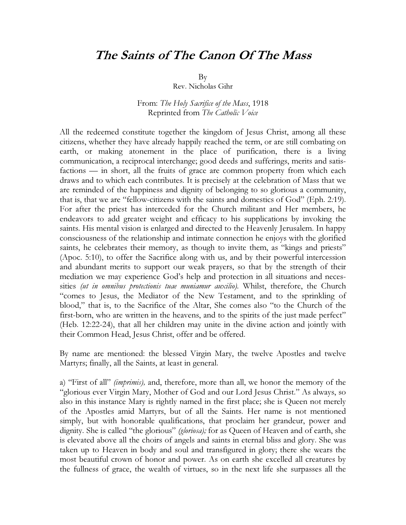## The Saints of The Canon Of The Mass

By

Rev. Nicholas Gihr

From: The Holy Sacrifice of the Mass, 1918 Reprinted from The Catholic Voice

All the redeemed constitute together the kingdom of Jesus Christ, among all these citizens, whether they have already happily reached the term, or are still combating on earth, or making atonement in the place of purification, there is a living communication, a reciprocal interchange; good deeds and sufferings, merits and satisfactions — in short, all the fruits of grace are common property from which each draws and to which each contributes. It is precisely at the celebration of Mass that we are reminded of the happiness and dignity of belonging to so glorious a community, that is, that we are "fellow-citizens with the saints and domestics of God" (Eph. 2:19). For after the priest has interceded for the Church militant and Her members, he endeavors to add greater weight and efficacy to his supplications by invoking the saints. His mental vision is enlarged and directed to the Heavenly Jerusalem. In happy consciousness of the relationship and intimate connection he enjoys with the glorified saints, he celebrates their memory, as though to invite them, as "kings and priests" (Apoc. 5:10), to offer the Sacrifice along with us, and by their powerful intercession and abundant merits to support our weak prayers, so that by the strength of their mediation we may experience God's help and protection in all situations and necessities (ut in omnibus protectionis tuae muniamur auxilio). Whilst, therefore, the Church "comes to Jesus, the Mediator of the New Testament, and to the sprinkling of blood," that is, to the Sacrifice of the Altar, She comes also "to the Church of the first-born, who are written in the heavens, and to the spirits of the just made perfect" (Heb. 12:22-24), that all her children may unite in the divine action and jointly with their Common Head, Jesus Christ, offer and be offered.

By name are mentioned: the blessed Virgin Mary, the twelve Apostles and twelve Martyrs; finally, all the Saints, at least in general.

a) "First of all" (imprimis), and, therefore, more than all, we honor the memory of the "glorious ever Virgin Mary, Mother of God and our Lord Jesus Christ." As always, so also in this instance Mary is rightly named in the first place; she is Queen not merely of the Apostles amid Martyrs, but of all the Saints. Her name is not mentioned simply, but with honorable qualifications, that proclaim her grandeur, power and dignity. She is called "the glorious" (gloriosa); for as Queen of Heaven and of earth, she is elevated above all the choirs of angels and saints in eternal bliss and glory. She was taken up to Heaven in body and soul and transfigured in glory; there she wears the most beautiful crown of honor and power. As on earth she excelled all creatures by the fullness of grace, the wealth of virtues, so in the next life she surpasses all the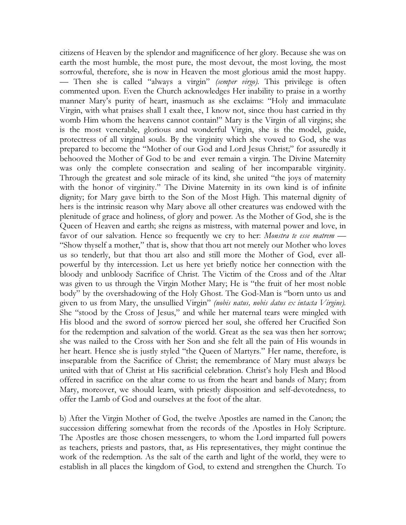citizens of Heaven by the splendor and magnificence of her glory. Because she was on earth the most humble, the most pure, the most devout, the most loving, the most sorrowful, therefore, she is now in Heaven the most glorious amid the most happy. — Then she is called "always a virgin" (semper virgo). This privilege is often commented upon. Even the Church acknowledges Her inability to praise in a worthy manner Mary's purity of heart, inasmuch as she exclaims: "Holy and immaculate Virgin, with what praises shall I exalt thee, I know not, since thou hast carried in thy womb Him whom the heavens cannot contain!" Mary is the Virgin of all virgins; she is the most venerable, glorious and wonderful Virgin, she is the model, guide, protectress of all virginal souls. By the virginity which she vowed to God, she was prepared to become the "Mother of our God and Lord Jesus Christ;" for assuredly it behooved the Mother of God to be and ever remain a virgin. The Divine Maternity was only the complete consecration and sealing of her incomparable virginity. Through the greatest and sole miracle of its kind, she united "the joys of maternity with the honor of virginity." The Divine Maternity in its own kind is of infinite dignity; for Mary gave birth to the Son of the Most High. This maternal dignity of hers is the intrinsic reason why Mary above all other creatures was endowed with the plenitude of grace and holiness, of glory and power. As the Mother of God, she is the Queen of Heaven and earth; she reigns as mistress, with maternal power and love, in favor of our salvation. Hence so frequently we cry to her: *Monstra te esse matrem* — "Show thyself a mother," that is, show that thou art not merely our Mother who loves us so tenderly, but that thou art also and still more the Mother of God, ever allpowerful by thy intercession. Let us here yet briefly notice her connection with the bloody and unbloody Sacrifice of Christ. The Victim of the Cross and of the Altar was given to us through the Virgin Mother Mary; He is "the fruit of her most noble body" by the overshadowing of the Holy Ghost. The God-Man is "born unto us and given to us from Mary, the unsullied Virgin" (nobis natus, nobis datus ex intacta Virgine). She "stood by the Cross of Jesus," and while her maternal tears were mingled with His blood and the sword of sorrow pierced her soul, she offered her Crucified Son for the redemption and salvation of the world. Great as the sea was then her sorrow; she was nailed to the Cross with her Son and she felt all the pain of His wounds in her heart. Hence she is justly styled "the Queen of Martyrs." Her name, therefore, is inseparable from the Sacrifice of Christ; the remembrance of Mary must always be united with that of Christ at His sacrificial celebration. Christ's holy Flesh and Blood offered in sacrifice on the altar come to us from the heart and bands of Mary; from Mary, moreover, we should learn, with priestly disposition and self-devotedness, to offer the Lamb of God and ourselves at the foot of the altar.

b) After the Virgin Mother of God, the twelve Apostles are named in the Canon; the succession differing somewhat from the records of the Apostles in Holy Scripture. The Apostles are those chosen messengers, to whom the Lord imparted full powers as teachers, priests and pastors, that, as His representatives, they might continue the work of the redemption. As the salt of the earth and light of the world, they were to establish in all places the kingdom of God, to extend and strengthen the Church. To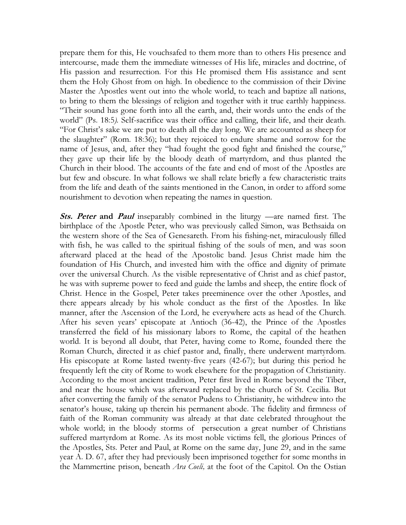prepare them for this, He vouchsafed to them more than to others His presence and intercourse, made them the immediate witnesses of His life, miracles and doctrine, of His passion and resurrection. For this He promised them His assistance and sent them the Holy Ghost from on high. In obedience to the commission of their Divine Master the Apostles went out into the whole world, to teach and baptize all nations, to bring to them the blessings of religion and together with it true earthly happiness. "Their sound has gone forth into all the earth, and, their words unto the ends of the world" (Ps. 18:5). Self-sacrifice was their office and calling, their life, and their death. "For Christ's sake we are put to death all the day long. We are accounted as sheep for the slaughter" (Rom. 18:36); but they rejoiced to endure shame and sorrow for the name of Jesus, and, after they "had fought the good fight and finished the course," they gave up their life by the bloody death of martyrdom, and thus planted the Church in their blood. The accounts of the fate and end of most of the Apostles are but few and obscure. In what follows we shall relate briefly a few characteristic traits from the life and death of the saints mentioned in the Canon, in order to afford some nourishment to devotion when repeating the names in question.

Sts. Peter and Paul inseparably combined in the liturgy —are named first. The birthplace of the Apostle Peter, who was previously called Simon, was Bethsaida on the western shore of the Sea of Genesareth. From his fishing-net, miraculously filled with fish, he was called to the spiritual fishing of the souls of men, and was soon afterward placed at the head of the Apostolic band. Jesus Christ made him the foundation of His Church, and invested him with the office and dignity of primate over the universal Church. As the visible representative of Christ and as chief pastor, he was with supreme power to feed and guide the lambs and sheep, the entire flock of Christ. Hence in the Gospel, Peter takes preeminence over the other Apostles, and there appears already by his whole conduct as the first of the Apostles. In like manner, after the Ascension of the Lord, he everywhere acts as head of the Church. After his seven years' episcopate at Antioch (36-42), the Prince of the Apostles transferred the field of his missionary labors to Rome, the capital of the heathen world. It is beyond all doubt, that Peter, having come to Rome, founded there the Roman Church, directed it as chief pastor and, finally, there underwent martyrdom. His episcopate at Rome lasted twenty-five years (42-67); but during this period he frequently left the city of Rome to work elsewhere for the propagation of Christianity. According to the most ancient tradition, Peter first lived in Rome beyond the Tiber, and near the house which was afterward replaced by the church of St. Cecilia. But after converting the family of the senator Pudens to Christianity, he withdrew into the senator's house, taking up therein his permanent abode. The fidelity and firmness of faith of the Roman community was already at that date celebrated throughout the whole world; in the bloody storms of persecution a great number of Christians suffered martyrdom at Rome. As its most noble victims fell, the glorious Princes of the Apostles, Sts. Peter and Paul, at Rome on the same day, June 29, and in the same year A. D. 67, after they had previously been imprisoned together for some months in the Mammertine prison, beneath *Ara Coeli*, at the foot of the Capitol. On the Ostian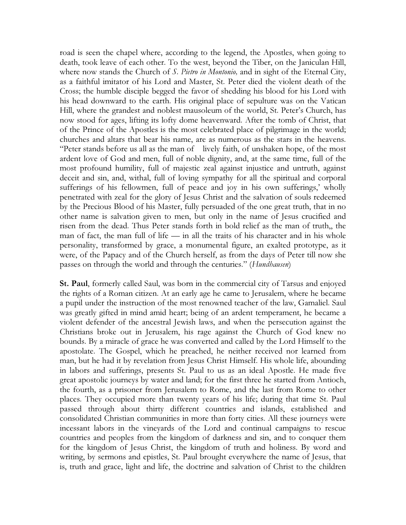road is seen the chapel where, according to the legend, the Apostles, when going to death, took leave of each other. To the west, beyond the Tiber, on the Janiculan Hill, where now stands the Church of S. Pietro in Montonio, and in sight of the Eternal City, as a faithful imitator of his Lord and Master, St. Peter died the violent death of the Cross; the humble disciple begged the favor of shedding his blood for his Lord with his head downward to the earth. His original place of sepulture was on the Vatican Hill, where the grandest and noblest mausoleum of the world, St. Peter's Church, has now stood for ages, lifting its lofty dome heavenward. After the tomb of Christ, that of the Prince of the Apostles is the most celebrated place of pilgrimage in the world; churches and altars that bear his name, are as numerous as the stars in the heavens. "Peter stands before us all as the man of lively faith, of unshaken hope, of the most ardent love of God and men, full of noble dignity, and, at the same time, full of the most profound humility, full of majestic zeal against injustice and untruth, against deceit and sin, and, withal, full of loving sympathy for all the spiritual and corporal sufferings of his fellowmen, full of peace and joy in his own sufferings,' wholly penetrated with zeal for the glory of Jesus Christ and the salvation of souls redeemed by the Precious Blood of his Master, fully persuaded of the one great truth, that in no other name is salvation given to men, but only in the name of Jesus crucified and risen from the dead. Thus Peter stands forth in bold relief as the man of truth,, the man of fact, the man full of life — in all the traits of his character and in his whole personality, transformed by grace, a monumental figure, an exalted prototype, as it were, of the Papacy and of the Church herself, as from the days of Peter till now she passes on through the world and through the centuries." (Hundhausen)

St. Paul, formerly called Saul, was born in the commercial city of Tarsus and enjoyed the rights of a Roman citizen. At an early age he came to Jerusalem, where he became a pupil under the instruction of the most renowned teacher of the law, Gamaliel. Saul was greatly gifted in mind amid heart; being of an ardent temperament, he became a violent defender of the ancestral Jewish laws, and when the persecution against the Christians broke out in Jerusalem, his rage against the Church of God knew no bounds. By a miracle of grace he was converted and called by the Lord Himself to the apostolate. The Gospel, which he preached, he neither received nor learned from man, but he had it by revelation from Jesus Christ Himself. His whole life, abounding in labors and sufferings, presents St. Paul to us as an ideal Apostle. He made five great apostolic journeys by water and land; for the first three he started from Antioch, the fourth, as a prisoner from Jerusalem to Rome, and the last from Rome to other places. They occupied more than twenty years of his life; during that time St. Paul passed through about thirty different countries and islands, established and consolidated Christian communities in more than forty cities. All these journeys were incessant labors in the vineyards of the Lord and continual campaigns to rescue countries and peoples from the kingdom of darkness and sin, and to conquer them for the kingdom of Jesus Christ, the kingdom of truth and holiness. By word and writing, by sermons and epistles, St. Paul brought everywhere the name of Jesus, that is, truth and grace, light and life, the doctrine and salvation of Christ to the children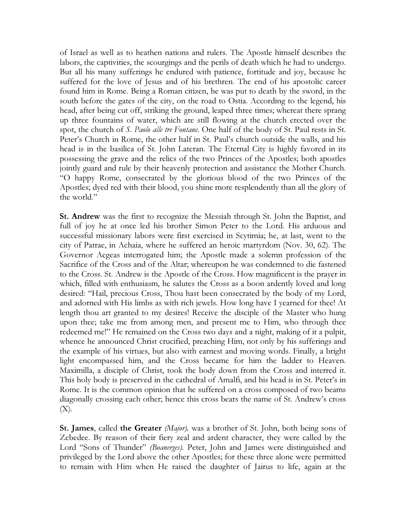of Israel as well as to heathen nations and rulers. The Apostle himself describes the labors, the captivities, the scourgings and the perils of death which he had to undergo. But all his many sufferings he endured with patience, fortitude and joy, because he suffered for the love of Jesus and of his brethren. The end of his apostolic career found him in Rome. Being a Roman citizen, he was put to death by the sword, in the south before the gates of the city, on the road to Ostia. According to the legend, his head, after being cut off, striking the ground, leaped three times; whereat there sprang up three fountains of water, which are still flowing at the church erected over the spot, the church of S. Paolo alle tre Fontane. One half of the body of St. Paul rests in St. Peter's Church in Rome, the other half in St. Paul's church outside the walls, and his head is in the basilica of St. John Lateran. The Eternal City is highly favored in its possessing the grave and the relics of the two Princes of the Apostles; both apostles jointly guard and rule by their heavenly protection and assistance the Mother Church. "O happy Rome, consecrated by the glorious blood of the two Princes of the Apostles; dyed red with their blood, you shine more resplendently than all the glory of the world."

St. Andrew was the first to recognize the Messiah through St. John the Baptist, and full of joy he at once led his brother Simon Peter to the Lord. His arduous and successful missionary labors were first exercised in Scytimia; he, at last, went to the city of Patrae, in Achaia, where he suffered an heroic martyrdom (Nov. 30, 62). The Governor Aegeas interrogated him; the Apostle made a solemn profession of the Sacrifice of the Cross and of the Altar; whereupon he was condemned to die fastened to the Cross. St. Andrew is the Apostle of the Cross. How magnificent is the prayer in which, filled with enthusiasm, he salutes the Cross as a boon ardently loved and long desired: "Hail, precious Cross, Thou hast been consecrated by the body of my Lord, and adorned with His limbs as with rich jewels. How long have I yearned for thee! At length thou art granted to my desires! Receive the disciple of the Master who hung upon thee; take me from among men, and present me to Him, who through thee redeemed me!" He remained on the Cross two days and a night, making of it a pulpit, whence he announced Christ crucified, preaching Him, not only by his sufferings and the example of his virtues, but also with earnest and moving words. Finally, a bright light encompassed him, and the Cross became for him the ladder to Heaven. Maximilla, a disciple of Christ, took the body down from the Cross and interred it. This holy body is preserved in the cathedral of Amalfi, and his head is in St. Peter's in Rome. It is the common opinion that he suffered on a cross composed of two beams diagonally crossing each other; hence this cross bears the name of St. Andrew's cross (X).

St. James, called the Greater *(Major)*, was a brother of St. John, both being sons of Zebedee. By reason of their fiery zeal and ardent character, they were called by the Lord "Sons of Thunder" *(Boanerges)*. Peter, John and James were distinguished and privileged by the Lord above the other Apostles; for these three alone were permitted to remain with Him when He raised the daughter of Jairus to life, again at the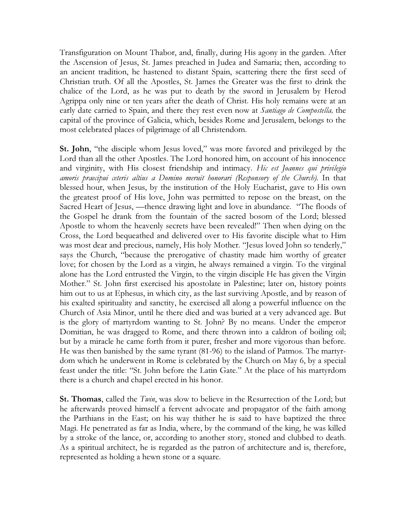Transfiguration on Mount Thabor, and, finally, during His agony in the garden. After the Ascension of Jesus, St. James preached in Judea and Samaria; then, according to an ancient tradition, he hastened to distant Spain, scattering there the first seed of Christian truth. Of all the Apostles, St. James the Greater was the first to drink the chalice of the Lord, as he was put to death by the sword in Jerusalem by Herod Agrippa only nine or ten years after the death of Christ. His holy remains were at an early date carried to Spain, and there they rest even now at *Santiago de Compostella*, the capital of the province of Galicia, which, besides Rome and Jerusalem, belongs to the most celebrated places of pilgrimage of all Christendom.

St. John, "the disciple whom Jesus loved," was more favored and privileged by the Lord than all the other Apostles. The Lord honored him, on account of his innocence and virginity, with His closest friendship and intimacy. Hic est Joannes qui privilegio amoris praecipui ceteris altius a Domino meruit honorari (Responsory of the Church). In that blessed hour, when Jesus, by the institution of the Holy Eucharist, gave to His own the greatest proof of His love, John was permitted to repose on the breast, on the Sacred Heart of Jesus, —thence drawing light and love in abundance. "The floods of the Gospel he drank from the fountain of the sacred bosom of the Lord; blessed Apostle to whom the heavenly secrets have been revealed!" Then when dying on the Cross, the Lord bequeathed and delivered over to His favorite disciple what to Him was most dear and precious, namely, His holy Mother. "Jesus loved John so tenderly," says the Church, "because the prerogative of chastity made him worthy of greater love; for chosen by the Lord as a virgin, he always remained a virgin. To the virginal alone has the Lord entrusted the Virgin, to the virgin disciple He has given the Virgin Mother." St. John first exercised his apostolate in Palestine; later on, history points him out to us at Ephesus, in which city, as the last surviving Apostle, and by reason of his exalted spirituality and sanctity, he exercised all along a powerful influence on the Church of Asia Minor, until he there died and was buried at a very advanced age. But is the glory of martyrdom wanting to St. John? By no means. Under the emperor Domitian, he was dragged to Rome, and there thrown into a caldron of boiling oil; but by a miracle he came forth from it purer, fresher and more vigorous than before. He was then banished by the same tyrant (81-96) to the island of Patmos. The martyrdom which he underwent in Rome is celebrated by the Church on May 6, by a special feast under the title: "St. John before the Latin Gate." At the place of his martyrdom there is a church and chapel erected in his honor.

**St. Thomas,** called the *Twin*, was slow to believe in the Resurrection of the Lord; but he afterwards proved himself a fervent advocate and propagator of the faith among the Parthians in the East; on his way thither he is said to have baptized the three Magi. He penetrated as far as India, where, by the command of the king, he was killed by a stroke of the lance, or, according to another story, stoned and clubbed to death. As a spiritual architect, he is regarded as the patron of architecture and is, therefore, represented as holding a hewn stone or a square.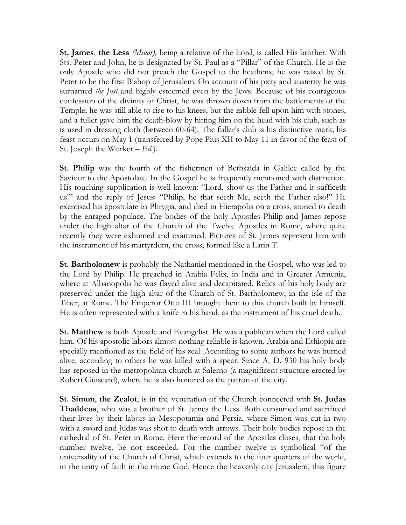**St. James, the Less** (*Minor*), being a relative of the Lord, is called His brother. With Sts. Peter and John, he is designated by St. Paul as a "Pillar" of the Church. He is the only Apostle who did not preach the Gospel to the heathens; he was raised by St. Peter to be the first Bishop of Jerusalem. On account of his piety and austerity he was surnamed the Just and highly esteemed even by the Jews. Because of his courageous confession of the divinity of Christ, he was thrown down from the battlements of the Temple; he was still able to rise to his knees, but the rabble fell upon him with stones, and a fuller gave him the death-blow by hitting him on the head with his club, such as is used in dressing cloth (between 60-64). The fuller's club is his distinctive mark; his feast occurs on May 1 (transferred by Pope Pius XII to May 11 in favor of the feast of St. Joseph the Worker  $-Ed$ .).

St. Philip was the fourth of the fishermen of Bethsaida in Galilee called by the Saviour to the Apostolate. In the Gospel he is frequently mentioned with distinction. His touching supplication is well known: "Lord, show us the Father and it sufficeth us!" and the reply of Jesus: "Philip, he that seeth Me, seeth the Father also!" He exercised his apostolate in Phrygia, and died in Hierapolis on a cross, stoned to death by the enraged populace. The bodies of the holy Apostles Philip and James repose under the high altar of the Church of the Twelve Apostles in Rome, where quite recently they were exhumed and examined. Pictures of St. James represent him with the instrument of his martyrdom, the cross, formed like a Latin T.

St. Bartholomew is probably the Nathaniel mentioned in the Gospel, who was led to the Lord by Philip. He preached in Arabia Felix, in India and in Greater Armenia, where at Albanopolis he was flayed alive and decapitated. Relics of his holy body are preserved under the high altar of the Church of St. Bartholomew, in the isle of the Tiber, at Rome. The Emperor Otto III brought them to this church built by himself. He is often represented with a knife in his hand, as the instrument of his cruel death.

St. Matthew is both Apostle and Evangelist. He was a publican when the Lord called him. Of his apostolic labors almost nothing reliable is known. Arabia and Ethiopia are specially mentioned as the field of his zeal. According to some authors he was burned alive, according to others he was killed with a spear. Since A. D. 930 his holy body has reposed in the metropolitan church at Salerno (a magnificent structure erected by Robert Guiscard), where he is also honored as the patron of the city.

St. Simon, the Zealot, is in the veneration of the Church connected with St. Judas Thaddeus, who was a brother of St. James the Less. Both consumed and sacrificed their lives by their labors in Mesopotamia and Persia, where Simon was cut in two with a sword and Judas was shot to death with arrows. Their holy bodies repose in the cathedral of St. Peter in Rome. Here the record of the Apostles closes, that the holy number twelve, be not exceeded. For the number twelve is symbolical "of the universality of the Church of Christ, which extends to the four quarters of the world, in the unity of faith in the triune God. Hence the heavenly city Jerusalem, this figure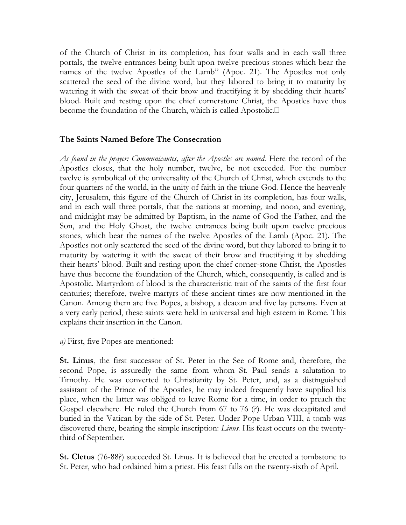of the Church of Christ in its completion, has four walls and in each wall three portals, the twelve entrances being built upon twelve precious stones which bear the names of the twelve Apostles of the Lamb" (Apoc. 21). The Apostles not only scattered the seed of the divine word, but they labored to bring it to maturity by watering it with the sweat of their brow and fructifying it by shedding their hearts' blood. Built and resting upon the chief cornerstone Christ, the Apostles have thus become the foundation of the Church, which is called Apostolic.L

## The Saints Named Before The Consecration

As found in the prayer: Communicantes, after the Apostles are named. Here the record of the Apostles closes, that the holy number, twelve, be not exceeded. For the number twelve is symbolical of the universality of the Church of Christ, which extends to the four quarters of the world, in the unity of faith in the triune God. Hence the heavenly city, Jerusalem, this figure of the Church of Christ in its completion, has four walls, and in each wall three portals, that the nations at morning, and noon, and evening, and midnight may be admitted by Baptism, in the name of God the Father, and the Son, and the Holy Ghost, the twelve entrances being built upon twelve precious stones, which bear the names of the twelve Apostles of the Lamb (Apoc. 21). The Apostles not only scattered the seed of the divine word, but they labored to bring it to maturity by watering it with the sweat of their brow and fructifying it by shedding their hearts' blood. Built and resting upon the chief corner-stone Christ, the Apostles have thus become the foundation of the Church, which, consequently, is called and is Apostolic. Martyrdom of blood is the characteristic trait of the saints of the first four centuries; therefore, twelve martyrs of these ancient times are now mentioned in the Canon. Among them are five Popes, a bishop, a deacon and five lay persons. Even at a very early period, these saints were held in universal and high esteem in Rome. This explains their insertion in the Canon.

a) First, five Popes are mentioned:

St. Linus, the first successor of St. Peter in the See of Rome and, therefore, the second Pope, is assuredly the same from whom St. Paul sends a salutation to Timothy. He was converted to Christianity by St. Peter, and, as a distinguished assistant of the Prince of the Apostles, he may indeed frequently have supplied his place, when the latter was obliged to leave Rome for a time, in order to preach the Gospel elsewhere. He ruled the Church from 67 to 76 (?). He was decapitated and buried in the Vatican by the side of St. Peter. Under Pope Urban VIII, a tomb was discovered there, bearing the simple inscription: *Linus*. His feast occurs on the twentythird of September.

St. Cletus (76-88?) succeeded St. Linus. It is believed that he erected a tombstone to St. Peter, who had ordained him a priest. His feast falls on the twenty-sixth of April.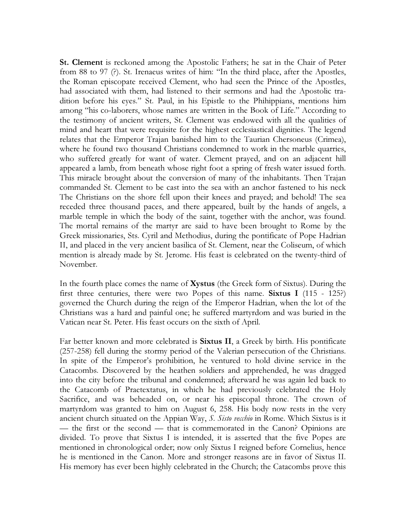St. Clement is reckoned among the Apostolic Fathers; he sat in the Chair of Peter from 88 to 97 (?). St. Irenaeus writes of him: "In the third place, after the Apostles, the Roman episcopate received Clement, who had seen the Prince of the Apostles, had associated with them, had listened to their sermons and had the Apostolic tradition before his eyes." St. Paul, in his Epistle to the Phihippians, mentions him among "his co-laborers, whose names are written in the Book of Life." According to the testimony of ancient writers, St. Clement was endowed with all the qualities of mind and heart that were requisite for the highest ecclesiastical dignities. The legend relates that the Emperor Trajan banished him to the Taurian Chersoneus (Crimea), where he found two thousand Christians condemned to work in the marble quarries, who suffered greatly for want of water. Clement prayed, and on an adjacent hill appeared a lamb, from beneath whose right foot a spring of fresh water issued forth. This miracle brought about the conversion of many of the inhabitants. Then Trajan commanded St. Clement to be cast into the sea with an anchor fastened to his neck The Christians on the shore fell upon their knees and prayed; and behold! The sea receded three thousand paces, and there appeared, built by the hands of angels, a marble temple in which the body of the saint, together with the anchor, was found. The mortal remains of the martyr are said to have been brought to Rome by the Greek missionaries, Sts. Cyril and Methodius, during the pontificate of Pope Hadrian II, and placed in the very ancient basilica of St. Clement, near the Coliseum, of which mention is already made by St. Jerome. His feast is celebrated on the twenty-third of November.

In the fourth place comes the name of Xystus (the Greek form of Sixtus). During the first three centuries, there were two Popes of this name. Sixtus I (115 - 125?) governed the Church during the reign of the Emperor Hadrian, when the lot of the Christians was a hard and painful one; he suffered martyrdom and was buried in the Vatican near St. Peter. His feast occurs on the sixth of April.

Far better known and more celebrated is Sixtus II, a Greek by birth. His pontificate (257-258) fell during the stormy period of the Valerian persecution of the Christians. In spite of the Emperor's prohibition, he ventured to hold divine service in the Catacombs. Discovered by the heathen soldiers and apprehended, he was dragged into the city before the tribunal and condemned; afterward he was again led back to the Catacomb of Praetextatus, in which he had previously celebrated the Holy Sacrifice, and was beheaded on, or near his episcopal throne. The crown of martyrdom was granted to him on August 6, 258. His body now rests in the very ancient church situated on the Appian Way, S. Sisto vecchio in Rome. Which Sixtus is it — the first or the second — that is commemorated in the Canon? Opinions are divided. To prove that Sixtus I is intended, it is asserted that the five Popes are mentioned in chronological order; now only Sixtus I reigned before Cornelius, hence he is mentioned in the Canon. More and stronger reasons are in favor of Sixtus II. His memory has ever been highly celebrated in the Church; the Catacombs prove this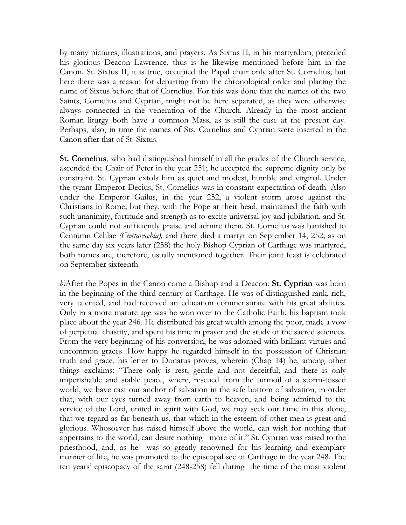by many pictures, illustrations, and prayers. As Sixtus II, in his martyrdom, preceded his glorious Deacon Lawrence, thus is he likewise mentioned before him in the Canon. St. Sixtus II, it is true, occupied the Papal chair only after St. Cornelius; but here there was a reason for departing from the chronological order and placing the name of Sixtus before that of Cornelius. For this was done that the names of the two Saints, Cornelius and Cyprian, might not be here separated, as they were otherwise always connected in the veneration of the Church. Already in the most ancient Roman liturgy both have a common Mass, as is still the case at the present day. Perhaps, also, in time the names of Sts. Cornelius and Cyprian were inserted in the Canon after that of St. Sixtus.

St. Cornelius, who had distinguished himself in all the grades of the Church service, ascended the Chair of Peter in the year 251; he accepted the supreme dignity only by constraint. St. Cyprian extols him as quiet and modest, humble and virginal. Under the tyrant Emperor Decius, St. Cornelius was in constant expectation of death. Also under the Emperor Gailus, in the year 252, a violent storm arose against the Christians in Rome; but they, with the Pope at their head, maintained the faith with such unanimity, fortitude and strength as to excite universal joy and jubilation, and St. Cyprian could not sufficiently praise and admire them. St. Cornelius was banished to Centumn Cehlae (Civitavecehia), and there died a martyr on September 14, 252; as on the same day six years later (258) the holy Bishop Cyprian of Carthage was martyred, both names are, therefore, usually mentioned together. Their joint feast is celebrated on September sixteenth.

b)After the Popes in the Canon come a Bishop and a Deacon: St. Cyprian was born in the beginning of the third century at Carthage. He was of distinguished rank, rich, very talented, and had received an education commensurate with his great abilities. Only in a more mature age was he won over to the Catholic Faith; his baptism took place about the year 246. He distributed his great wealth among the poor, made a vow of perpetual chastity, and spent his time in prayer and the study of the sacred sciences. From the very beginning of his conversion, he was adorned with brilliant virtues and uncommon graces. How happy he regarded himself in the possession of Christian truth and grace, his letter to Donatus proves, wherein (Chap 14) he, among other things exclaims: "There only is rest, gentle and not deceitful; and there is only imperishable and stable peace, where, rescued from the turmoil of a storm-tossed world, we have cast our anchor of salvation in the safe bottom of salvation, in order that, with our eyes turned away from earth to heaven, and being admitted to the service of the Lord, united in spirit with God, we may seek our fame in this alone, that we regard as far beneath us, that which in the esteem of other men is great and glorious. Whosoever has raised himself above the world, can wish for nothing that appertains to the world, can desire nothing more of it." St. Cyprian was raised to the priesthood, and, as he was so greatly renowned for his learning and exemplary manner of life, he was promoted to the episcopal see of Carthage in the year 248. The ten years' episcopacy of the saint (248-258) fell during the time of the most violent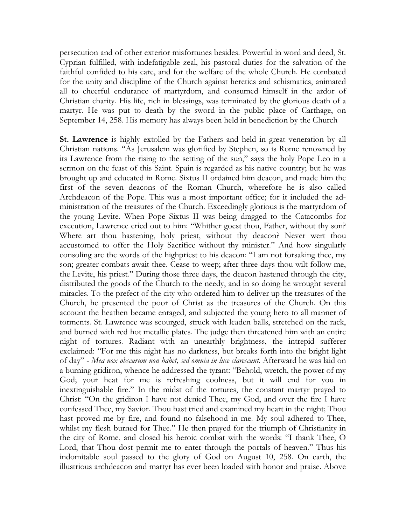persecution and of other exterior misfortunes besides. Powerful in word and deed, St. Cyprian fulfilled, with indefatigable zeal, his pastoral duties for the salvation of the faithful confided to his care, and for the welfare of the whole Church. He combated for the unity and discipline of the Church against heretics and schismatics, animated all to cheerful endurance of martyrdom, and consumed himself in the ardor of Christian charity. His life, rich in blessings, was terminated by the glorious death of a martyr. He was put to death by the sword in the public place of Carthage, on September 14, 258. His memory has always been held in benediction by the Church

St. Lawrence is highly extolled by the Fathers and held in great veneration by all Christian nations. "As Jerusalem was glorified by Stephen, so is Rome renowned by its Lawrence from the rising to the setting of the sun," says the holy Pope Leo in a sermon on the feast of this Saint. Spain is regarded as his native country; but he was brought up and educated in Rome. Sixtus II ordained him deacon, and made him the first of the seven deacons of the Roman Church, wherefore he is also called Archdeacon of the Pope. This was a most important office; for it included the administration of the treasures of the Church. Exceedingly glorious is the martyrdom of the young Levite. When Pope Sixtus II was being dragged to the Catacombs for execution, Lawrence cried out to him: "Whither goest thou, Father, without thy son? Where art thou hastening, holy priest, without thy deacon? Never wert thou accustomed to offer the Holy Sacrifice without thy minister." And how singularly consoling are the words of the highpriest to his deacon: "I am not forsaking thee, my son; greater combats await thee. Cease to weep; after three days thou wilt follow me, the Levite, his priest." During those three days, the deacon hastened through the city, distributed the goods of the Church to the needy, and in so doing he wrought several miracles. To the prefect of the city who ordered him to deliver up the treasures of the Church, he presented the poor of Christ as the treasures of the Church. On this account the heathen became enraged, and subjected the young hero to all manner of torments. St. Lawrence was scourged, struck with leaden balls, stretched on the rack, and burned with red hot metallic plates. The judge then threatened him with an entire night of tortures. Radiant with an unearthly brightness, the intrepid sufferer exclaimed: "For me this night has no darkness, but breaks forth into the bright light of day" - Mea nox obscurum non habet, sed omnia in luce clarescunt. Afterward he was laid on a burning gridiron, whence he addressed the tyrant: "Behold, wretch, the power of my God; your heat for me is refreshing coolness, but it will end for you in inextinguishable fire." In the midst of the tortures, the constant martyr prayed to Christ: "On the gridiron I have not denied Thee, my God, and over the fire I have confessed Thee, my Savior. Thou hast tried and examined my heart in the night; Thou hast proved me by fire, and found no falsehood in me. My soul adhered to Thee, whilst my flesh burned for Thee." He then prayed for the triumph of Christianity in the city of Rome, and closed his heroic combat with the words: "I thank Thee, O Lord, that Thou dost permit me to enter through the portals of heaven." Thus his indomitable soul passed to the glory of God on August 10, 258. On earth, the illustrious archdeacon and martyr has ever been loaded with honor and praise. Above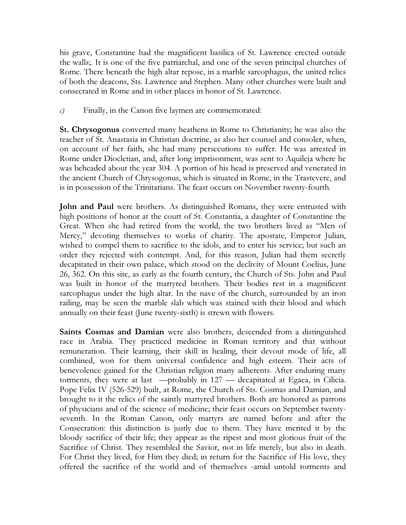his grave, Constantine had the magnificent basilica of St. Lawrence erected outside the walls;. It is one of the five patriarchal, and one of the seven principal churches of Rome. There beneath the high altar repose, in a marble sarcophagus, the united relics of both the deacons, Sts. Lawrence and Stephen. Many other churches were built and consecrated in Rome and in other places in honor of St. Lawrence.

 $c$ ) Finally, in the Canon five laymen are commemorated:

St. Chrysogonus converted many heathens in Rome to Christianity; he was also the teacher of St. Anastasia in Christian doctrine, as also her counsel and consoler, when, on account of her faith, she had many persecutions to suffer. He was arrested in Rome under Diocletian, and, after long imprisonment, was sent to Aquileja where he was beheaded about the year 304. A portion of his head is preserved and venerated in the ancient Church of Chrysogonus, which is situated in Rome, in the Trastevere, and is in possession of the Trinitarians. The feast occurs on November twenty-fourth.

John and Paul were brothers. As distinguished Romans, they were entrusted with high positions of honor at the court of St. Constantia, a daughter of Constantine the Great. When she had retired from the world, the two brothers lived as "Men of Mercy," devoting themselves to works of charity. The apostate, Emperor Julian, wished to compel them to sacrifice to the idols, and to enter his service; but such an order they rejected with contempt. And, for this reason, Julian had them secretly decapitated in their own palace, which stood on the declivity of Mount Coelius, June 26, 362. On this site, as early as the fourth century, the Church of Sts. John and Paul was built in honor of the martyred brothers. Their bodies rest in a magnificent sarcophagus under the high altar. In the nave of the church, surrounded by an iron railing, may be seen the marble slab which was stained with their blood and which annually on their feast (June twenty-sixth) is strewn with flowers.

Saints Cosmas and Damian were also brothers, descended from a distinguished race in Arabia. They practiced medicine in Roman territory and that without remuneration. Their learning, their skill in healing, their devout mode of life, all combined, won for them universal confidence and high esteem. Their acts of benevolence gained for the Christian religion many adherents. After enduring many torments, they were at last —probably in 127 — decapitated at Egaea, in Cilicia. Pope Felix IV (526-529) built, at Rome, the Church of Sts. Cosmas and Damian, and brought to it the relics of the saintly martyred brothers. Both are honored as patrons of physicians and of the science of medicine; their feast occurs on September twentyseventh. In the Roman Canon, only martyrs are named before and after the Consecration: this distinction is justly due to them. They have merited it by the bloody sacrifice of their life; they appear as the ripest and most glorious fruit of the Sacrifice of Christ. They resembled the Savior, not in life merely, but also in death. For Christ they lived, for Him they died; in return for the Sacrifice of His love, they offered the sacrifice of the world and of themselves -amid untold torments and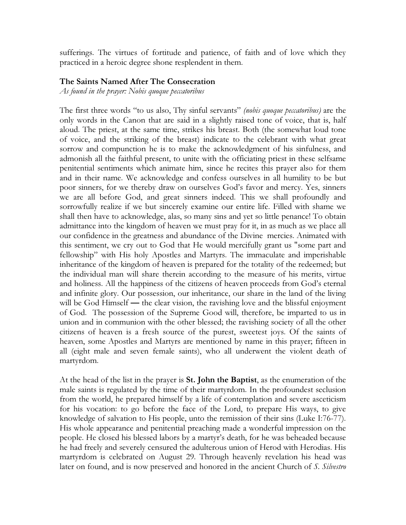sufferings. The virtues of fortitude and patience, of faith and of love which they practiced in a heroic degree shone resplendent in them.

## The Saints Named After The Consecration

As found in the prayer: Nobis quoque peccatoribus

The first three words "to us also, Thy sinful servants" *(nobis quoque peccatoribus)* are the only words in the Canon that are said in a slightly raised tone of voice, that is, half aloud. The priest, at the same time, strikes his breast. Both (the somewhat loud tone of voice, and the striking of the breast) indicate to the celebrant with what great sorrow and compunction he is to make the acknowledgment of his sinfulness, and admonish all the faithful present, to unite with the officiating priest in these selfsame penitential sentiments which animate him, since he recites this prayer also for them and in their name. We acknowledge and confess ourselves in all humility to be but poor sinners, for we thereby draw on ourselves God's favor and mercy. Yes, sinners we are all before God, and great sinners indeed. This we shall profoundly and sorrowfully realize if we but sincerely examine our entire life. Filled with shame we shall then have to acknowledge, alas, so many sins and yet so little penance! To obtain admittance into the kingdom of heaven we must pray for it, in as much as we place all our confidence in the greatness and abundance of the Divine mercies. Animated with this sentiment, we cry out to God that He would mercifully grant us "some part and fellowship" with His holy Apostles and Martyrs. The immaculate and imperishable inheritance of the kingdom of heaven is prepared for the totality of the redeemed; but the individual man will share therein according to the measure of his merits, virtue and holiness. All the happiness of the citizens of heaven proceeds from God's eternal and infinite glory. Our possession, our inheritance, our share in the land of the living will be God Himself — the clear vision, the ravishing love and the blissful enjoyment of God. The possession of the Supreme Good will, therefore, be imparted to us in union and in communion with the other blessed; the ravishing society of all the other citizens of heaven is a fresh source of the purest, sweetest joys. Of the saints of heaven, some Apostles and Martyrs are mentioned by name in this prayer; fifteen in all (eight male and seven female saints), who all underwent the violent death of martyrdom.

At the head of the list in the prayer is St. John the Baptist, as the enumeration of the male saints is regulated by the time of their martyrdom. In the profoundest seclusion from the world, he prepared himself by a life of contemplation and severe asceticism for his vocation: to go before the face of the Lord, to prepare His ways, to give knowledge of salvation to His people, unto the remission of their sins (Luke I:76-77). His whole appearance and penitential preaching made a wonderful impression on the people. He closed his blessed labors by a martyr's death, for he was beheaded because he had freely and severely censured the adulterous union of Herod with Herodias. His martyrdom is celebrated on August 29. Through heavenly revelation his head was later on found, and is now preserved and honored in the ancient Church of S. Silvestro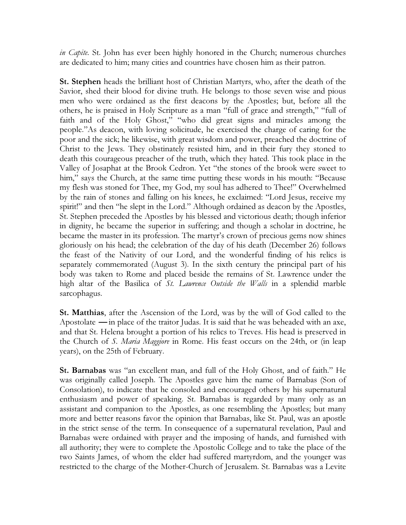in Capite. St. John has ever been highly honored in the Church; numerous churches are dedicated to him; many cities and countries have chosen him as their patron.

St. Stephen heads the brilliant host of Christian Martyrs, who, after the death of the Savior, shed their blood for divine truth. He belongs to those seven wise and pious men who were ordained as the first deacons by the Apostles; but, before all the others, he is praised in Holy Scripture as a man "full of grace and strength," "full of faith and of the Holy Ghost," "who did great signs and miracles among the people."As deacon, with loving solicitude, he exercised the charge of caring for the poor and the sick; he likewise, with great wisdom and power, preached the doctrine of Christ to the Jews. They obstinately resisted him, and in their fury they stoned to death this courageous preacher of the truth, which they hated. This took place in the Valley of Josaphat at the Brook Cedron. Yet "the stones of the brook were sweet to him," says the Church, at the same time putting these words in his mouth: "Because" my flesh was stoned for Thee, my God, my soul has adhered to Thee!" Overwhelmed by the rain of stones and falling on his knees, he exclaimed: "Lord Jesus, receive my spirit!" and then "he slept in the Lord." Although ordained as deacon by the Apostles, St. Stephen preceded the Apostles by his blessed and victorious death; though inferior in dignity, he became the superior in suffering; and though a scholar in doctrine, he became the master in its profession. The martyr's crown of precious gems now shines gloriously on his head; the celebration of the day of his death (December 26) follows the feast of the Nativity of our Lord, and the wonderful finding of his relics is separately commemorated (August 3). In the sixth century the principal part of his body was taken to Rome and placed beside the remains of St. Lawrence under the high altar of the Basilica of St. Lawrence Outside the Walls in a splendid marble sarcophagus.

St. Matthias, after the Ascension of the Lord, was by the will of God called to the Apostolate — in place of the traitor Judas. It is said that he was beheaded with an axe, and that St. Helena brought a portion of his relics to Treves. His head is preserved in the Church of S. Maria Maggiore in Rome. His feast occurs on the 24th, or (in leap years), on the 25th of February.

St. Barnabas was "an excellent man, and full of the Holy Ghost, and of faith." He was originally called Joseph. The Apostles gave him the name of Barnabas (Son of Consolation), to indicate that he consoled and encouraged others by his supernatural enthusiasm and power of speaking. St. Barnabas is regarded by many only as an assistant and companion to the Apostles, as one resembling the Apostles; but many more and better reasons favor the opinion that Barnabas, like St. Paul, was an apostle in the strict sense of the term. In consequence of a supernatural revelation, Paul and Barnabas were ordained with prayer and the imposing of hands, and furnished with all authority; they were to complete the Apostolic College and to take the place of the two Saints James, of whom the elder had suffered martyrdom, and the younger was restricted to the charge of the Mother-Church of Jerusalem. St. Barnabas was a Levite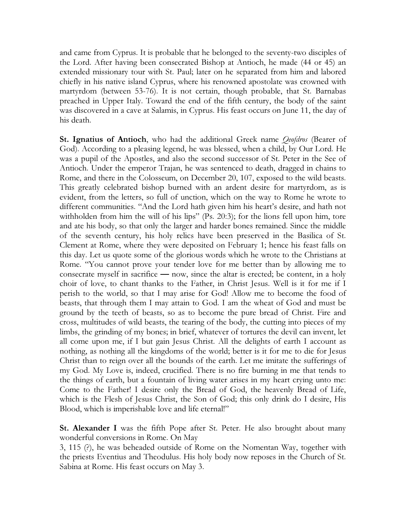and came from Cyprus. It is probable that he belonged to the seventy-two disciples of the Lord. After having been consecrated Bishop at Antioch, he made (44 or 45) an extended missionary tour with St. Paul; later on he separated from him and labored chiefly in his native island Cyprus, where his renowned apostolate was crowned with martyrdom (between 53-76). It is not certain, though probable, that St. Barnabas preached in Upper Italy. Toward the end of the fifth century, the body of the saint was discovered in a cave at Salamis, in Cyprus. His feast occurs on June 11, the day of his death.

**St. Ignatius of Antioch**, who had the additional Greek name *Qeofdros* (Bearer of God). According to a pleasing legend, he was blessed, when a child, by Our Lord. He was a pupil of the Apostles, and also the second successor of St. Peter in the See of Antioch. Under the emperor Trajan, he was sentenced to death, dragged in chains to Rome, and there in the Colosseum, on December 20, 107, exposed to the wild beasts. This greatly celebrated bishop burned with an ardent desire for martyrdom, as is evident, from the letters, so full of unction, which on the way to Rome he wrote to different communities. "And the Lord hath given him his heart's desire, and hath not withholden from him the will of his lips" (Ps. 20:3); for the lions fell upon him, tore and ate his body, so that only the larger and harder bones remained. Since the middle of the seventh century, his holy relics have been preserved in the Basilica of St. Clement at Rome, where they were deposited on February 1; hence his feast falls on this day. Let us quote some of the glorious words which he wrote to the Christians at Rome. "You cannot prove your tender love for me better than by allowing me to consecrate myself in sacrifice — now, since the altar is erected; be content, in a holy choir of love, to chant thanks to the Father, in Christ Jesus. Well is it for me if I perish to the world, so that I may arise for God! Allow me to become the food of beasts, that through them I may attain to God. I am the wheat of God and must be ground by the teeth of beasts, so as to become the pure bread of Christ. Fire and cross, multitudes of wild beasts, the tearing of the body, the cutting into pieces of my limbs, the grinding of my bones; in brief, whatever of tortures the devil can invent, let all come upon me, if I but gain Jesus Christ. All the delights of earth I account as nothing, as nothing all the kingdoms of the world; better is it for me to die for Jesus Christ than to reign over all the bounds of the earth. Let me imitate the sufferings of my God. My Love is, indeed, crucified. There is no fire burning in me that tends to the things of earth, but a fountain of living water arises in my heart crying unto me: Come to the Father! I desire only the Bread of God, the heavenly Bread of Life, which is the Flesh of Jesus Christ, the Son of God; this only drink do I desire, His Blood, which is imperishable love and life eternal!"

**St. Alexander I** was the fifth Pope after St. Peter. He also brought about many wonderful conversions in Rome. On May

3, 115 (?), he was beheaded outside of Rome on the Nomentan Way, together with the priests Eventius and Theodulus. His holy body now reposes in the Church of St. Sabina at Rome. His feast occurs on May 3.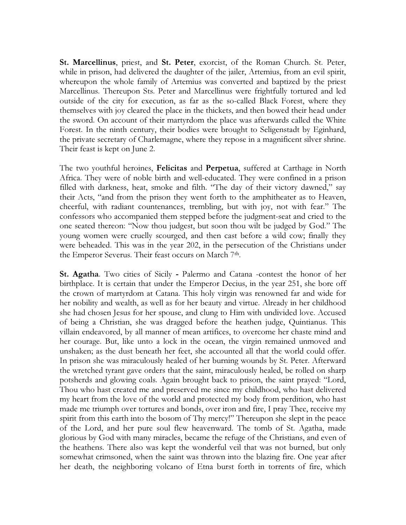St. Marcellinus, priest, and St. Peter, exorcist, of the Roman Church. St. Peter, while in prison, had delivered the daughter of the jailer, Artemius, from an evil spirit, whereupon the whole family of Artemius was converted and baptized by the priest Marcellinus. Thereupon Sts. Peter and Marcellinus were frightfully tortured and led outside of the city for execution, as far as the so-called Black Forest, where they themselves with joy cleared the place in the thickets, and then bowed their head under the sword. On account of their martyrdom the place was afterwards called the White Forest. In the ninth century, their bodies were brought to Seligenstadt by Eginhard, the private secretary of Charlemagne, where they repose in a magnificent silver shrine. Their feast is kept on June 2.

The two youthful heroines, Felicitas and Perpetua, suffered at Carthage in North Africa. They were of noble birth and well-educated. They were confined in a prison filled with darkness, heat, smoke and filth. "The day of their victory dawned," say their Acts, "and from the prison they went forth to the amphitheater as to Heaven, cheerful, with radiant countenances, trembling, but with joy, not with fear." The confessors who accompanied them stepped before the judgment-seat and cried to the one seated thereon: "Now thou judgest, but soon thou wilt be judged by God." The young women were cruelly scourged, and then cast before a wild cow; finally they were beheaded. This was in the year 202, in the persecution of the Christians under the Emperor Severus. Their feast occurs on March 7<sup>th</sup>.

St. Agatha. Two cities of Sicily - Palermo and Catana -contest the honor of her birthplace. It is certain that under the Emperor Decius, in the year 251, she bore off the crown of martyrdom at Catana. This holy virgin was renowned far and wide for her nobility and wealth, as well as for her beauty and virtue. Already in her childhood she had chosen Jesus for her spouse, and clung to Him with undivided love. Accused of being a Christian, she was dragged before the heathen judge, Quintianus. This villain endeavored, by all manner of mean artifices, to overcome her chaste mind and her courage. But, like unto a lock in the ocean, the virgin remained unmoved and unshaken; as the dust beneath her feet, she accounted all that the world could offer. In prison she was miraculously healed of her burning wounds by St. Peter. Afterward the wretched tyrant gave orders that the saint, miraculously healed, be rolled on sharp potsherds and glowing coals. Again brought back to prison, the saint prayed: "Lord, Thou who hast created me and preserved me since my childhood, who hast delivered my heart from the love of the world and protected my body from perdition, who hast made me triumph over tortures and bonds, over iron and fire, I pray Thee, receive my spirit from this earth into the bosom of Thy mercy!" Thereupon she slept in the peace of the Lord, and her pure soul flew heavenward. The tomb of St. Agatha, made glorious by God with many miracles, became the refuge of the Christians, and even of the heathens. There also was kept the wonderful veil that was not burned, but only somewhat crimsoned, when the saint was thrown into the blazing fire. One year after her death, the neighboring volcano of Etna burst forth in torrents of fire, which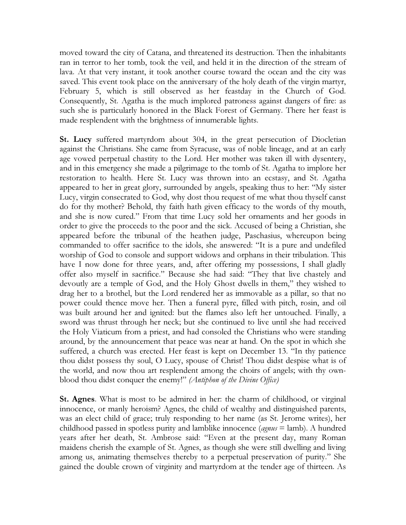moved toward the city of Catana, and threatened its destruction. Then the inhabitants ran in terror to her tomb, took the veil, and held it in the direction of the stream of lava. At that very instant, it took another course toward the ocean and the city was saved. This event took place on the anniversary of the holy death of the virgin martyr, February 5, which is still observed as her feastday in the Church of God. Consequently, St. Agatha is the much implored patroness against dangers of fire: as such she is particularly honored in the Black Forest of Germany. There her feast is made resplendent with the brightness of innumerable lights.

St. Lucy suffered martyrdom about 304, in the great persecution of Diocletian against the Christians. She came from Syracuse, was of noble lineage, and at an early age vowed perpetual chastity to the Lord. Her mother was taken ill with dysentery, and in this emergency she made a pilgrimage to the tomb of St. Agatha to implore her restoration to health. Here St. Lucy was thrown into an ecstasy, and St. Agatha appeared to her in great glory, surrounded by angels, speaking thus to her: "My sister Lucy, virgin consecrated to God, why dost thou request of me what thou thyself canst do for thy mother? Behold, thy faith hath given efficacy to the words of thy mouth, and she is now cured." From that time Lucy sold her ornaments and her goods in order to give the proceeds to the poor and the sick. Accused of being a Christian, she appeared before the tribunal of the heathen judge, Paschasius, whereupon being commanded to offer sacrifice to the idols, she answered: "It is a pure and undefiled worship of God to console and support widows and orphans in their tribulation. This have I now done for three years, and, after offering my possessions, I shall gladly offer also myself in sacrifice." Because she had said: "They that live chastely and devoutly are a temple of God, and the Holy Ghost dwells in them," they wished to drag her to a brothel, but the Lord rendered her as immovable as a pillar, so that no power could thence move her. Then a funeral pyre, filled with pitch, rosin, and oil was built around her and ignited: but the flames also left her untouched. Finally, a sword was thrust through her neck; but she continued to live until she had received the Holy Viaticum from a priest, and had consoled the Christians who were standing around, by the announcement that peace was near at hand. On the spot in which she suffered, a church was erected. Her feast is kept on December 13. "In thy patience thou didst possess thy soul, O Lucy, spouse of Christ! Thou didst despise what is of the world, and now thou art resplendent among the choirs of angels; with thy ownblood thou didst conquer the enemy!" (Antiphon of the Divine Office)

St. Agnes. What is most to be admired in her: the charm of childhood, or virginal innocence, or manly heroism? Agnes, the child of wealthy and distinguished parents, was an elect child of grace; truly responding to her name (as St. Jerome writes), her childhood passed in spotless purity and lamblike innocence (*agnus*  $=$  lamb). A hundred years after her death, St. Ambrose said: "Even at the present day, many Roman maidens cherish the example of St. Agnes, as though she were still dwelling and living among us, animating themselves thereby to a perpetual preservation of purity." She gained the double crown of virginity and martyrdom at the tender age of thirteen. As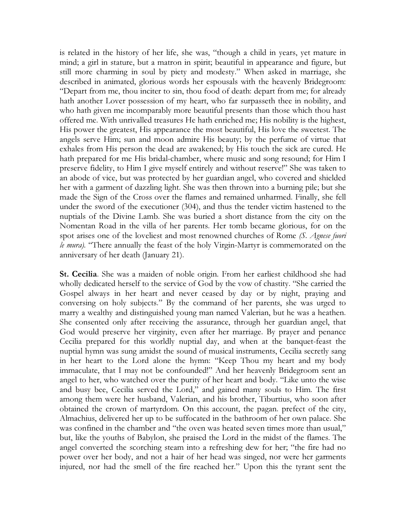is related in the history of her life, she was, "though a child in years, yet mature in mind; a girl in stature, but a matron in spirit; beautiful in appearance and figure, but still more charming in soul by piety and modesty." When asked in marriage, she described in animated, glorious words her espousals with the heavenly Bridegroom: "Depart from me, thou inciter to sin, thou food of death: depart from me; for already hath another Lover possession of my heart, who far surpasseth thee in nobility, and who hath given me incomparably more beautiful presents than those which thou hast offered me. With unrivalled treasures He hath enriched me; His nobility is the highest, His power the greatest, His appearance the most beautiful, His love the sweetest. The angels serve Him; sun and moon admire His beauty; by the perfume of virtue that exhales from His person the dead are awakened; by His touch the sick are cured. He hath prepared for me His bridal-chamber, where music and song resound; for Him I preserve fidelity, to Him I give myself entirely and without reserve!" She was taken to an abode of vice, but was protected by her guardian angel, who covered and shielded her with a garment of dazzling light. She was then thrown into a burning pile; but she made the Sign of the Cross over the flames and remained unharmed. Finally, she fell under the sword of the executioner (304), and thus the tender victim hastened to the nuptials of the Divine Lamb. She was buried a short distance from the city on the Nomentan Road in the villa of her parents. Her tomb became glorious, for on the spot arises one of the loveliest and most renowned churches of Rome (S. Agnese fuori le mura). "There annually the feast of the holy Virgin-Martyr is commemorated on the anniversary of her death (January 21).

St. Cecilia. She was a maiden of noble origin. From her earliest childhood she had wholly dedicated herself to the service of God by the vow of chastity. "She carried the Gospel always in her heart and never ceased by day or by night, praying and conversing on holy subjects." By the command of her parents, she was urged to marry a wealthy and distinguished young man named Valerian, but he was a heathen. She consented only after receiving the assurance, through her guardian angel, that God would preserve her virginity, even after her marriage. By prayer and penance Cecilia prepared for this worldly nuptial day, and when at the banquet-feast the nuptial hymn was sung amidst the sound of musical instruments, Cecilia secretly sang in her heart to the Lord alone the hymn: "Keep Thou my heart and my body immaculate, that I may not be confounded!" And her heavenly Bridegroom sent an angel to her, who watched over the purity of her heart and body. "Like unto the wise and busy bee, Cecilia served the Lord," and gained many souls to Him. The first among them were her husband, Valerian, and his brother, Tiburtius, who soon after obtained the crown of martyrdom. On this account, the pagan. prefect of the city, Almachius, delivered her up to be suffocated in the bathroom of her own palace. She was confined in the chamber and "the oven was heated seven times more than usual," but, like the youths of Babylon, she praised the Lord in the midst of the flames. The angel converted the scorching steam into a refreshing dew for her; "the fire had no power over her body, and not a hair of her head was singed, nor were her garments injured, nor had the smell of the fire reached her." Upon this the tyrant sent the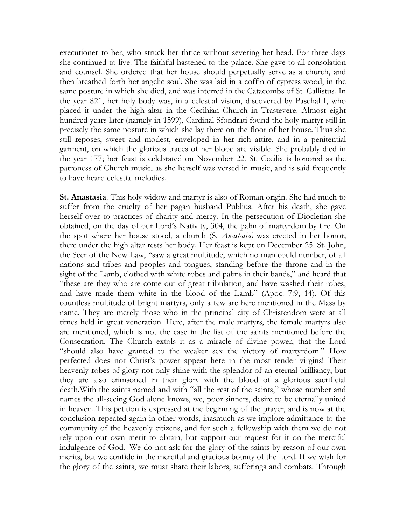executioner to her, who struck her thrice without severing her head. For three days she continued to live. The faithful hastened to the palace. She gave to all consolation and counsel. She ordered that her house should perpetually serve as a church, and then breathed forth her angelic soul. She was laid in a coffin of cypress wood, in the same posture in which she died, and was interred in the Catacombs of St. Callistus. In the year 821, her holy body was, in a celestial vision, discovered by Paschal I, who placed it under the high altar in the Cecihian Church in Trastevere. Almost eight hundred years later (namely in 1599), Cardinal Sfondrati found the holy martyr still in precisely the same posture in which she lay there on the floor of her house. Thus she still reposes, sweet and modest, enveloped in her rich attire, and in a penitential garment, on which the glorious traces of her blood are visible. She probably died in the year 177; her feast is celebrated on November 22. St. Cecilia is honored as the patroness of Church music, as she herself was versed in music, and is said frequently to have heard celestial melodies.

St. Anastasia. This holy widow and martyr is also of Roman origin. She had much to suffer from the cruelty of her pagan husband Publius. After his death, she gave herself over to practices of charity and mercy. In the persecution of Diocletian she obtained, on the day of our Lord's Nativity, 304, the palm of martyrdom by fire. On the spot where her house stood, a church (S. *Anastasia*) was erected in her honor; there under the high altar rests her body. Her feast is kept on December 25. St. John, the Seer of the New Law, "saw a great multitude, which no man could number, of all nations and tribes and peoples and tongues, standing before the throne and in the sight of the Lamb, clothed with white robes and palms in their bands," and heard that "these are they who are come out of great tribulation, and have washed their robes, and have made them white in the blood of the Lamb" (Apoc. 7:9, 14). Of this countless multitude of bright martyrs, only a few are here mentioned in the Mass by name. They are merely those who in the principal city of Christendom were at all times held in great veneration. Here, after the male martyrs, the female martyrs also are mentioned, which is not the case in the list of the saints mentioned before the Consecration. The Church extols it as a miracle of divine power, that the Lord "should also have granted to the weaker sex the victory of martyrdom." How perfected does not Christ's power appear here in the most tender virgins! Their heavenly robes of glory not only shine with the splendor of an eternal brilliancy, but they are also crimsoned in their glory with the blood of a glorious sacrificial death.With the saints named and with "all the rest of the saints," whose number and names the all-seeing God alone knows, we, poor sinners, desire to be eternally united in heaven. This petition is expressed at the beginning of the prayer, and is now at the conclusion repeated again in other words, inasmuch as we implore admittance to the community of the heavenly citizens, and for such a fellowship with them we do not rely upon our own merit to obtain, but support our request for it on the merciful indulgence of God. We do not ask for the glory of the saints by reason of our own merits, but we confide in the merciful and gracious bounty of the Lord. If we wish for the glory of the saints, we must share their labors, sufferings and combats. Through